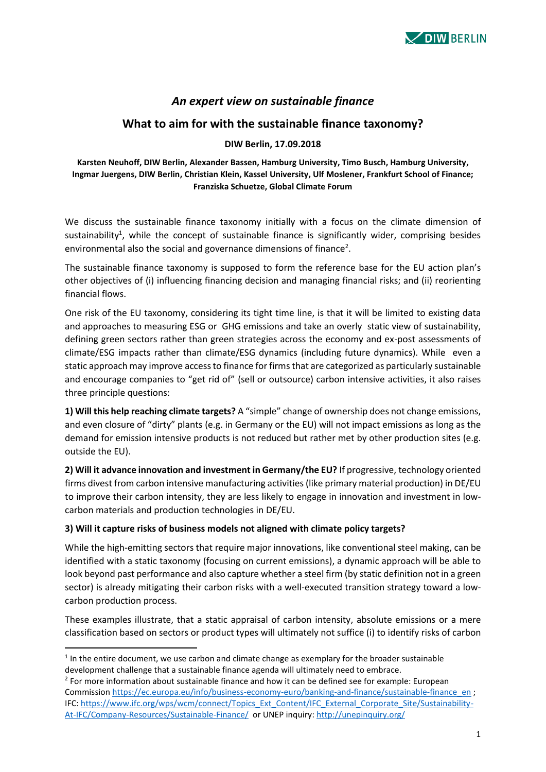

# *An expert view on sustainable finance*

# **What to aim for with the sustainable finance taxonomy?**

#### **DIW Berlin, 17.09.2018**

### **Karsten Neuhoff, DIW Berlin, Alexander Bassen, Hamburg University, Timo Busch, Hamburg University, Ingmar Juergens, DIW Berlin, Christian Klein, Kassel University, Ulf Moslener, Frankfurt School of Finance; Franziska Schuetze, Global Climate Forum**

We discuss the sustainable finance taxonomy initially with a focus on the climate dimension of sustainability<sup>1</sup>, while the concept of sustainable finance is significantly wider, comprising besides environmental also the social and governance dimensions of finance<sup>2</sup>.

The sustainable finance taxonomy is supposed to form the reference base for the EU action plan's other objectives of (i) influencing financing decision and managing financial risks; and (ii) reorienting financial flows.

One risk of the EU taxonomy, considering its tight time line, is that it will be limited to existing data and approaches to measuring ESG or GHG emissions and take an overly static view of sustainability, defining green sectors rather than green strategies across the economy and ex-post assessments of climate/ESG impacts rather than climate/ESG dynamics (including future dynamics). While even a static approach may improve access to finance for firms that are categorized as particularly sustainable and encourage companies to "get rid of" (sell or outsource) carbon intensive activities, it also raises three principle questions:

**1) Will this help reaching climate targets?** A "simple" change of ownership does not change emissions, and even closure of "dirty" plants (e.g. in Germany or the EU) will not impact emissions as long as the demand for emission intensive products is not reduced but rather met by other production sites (e.g. outside the EU).

**2) Will it advance innovation and investment in Germany/the EU?** If progressive, technology oriented firms divest from carbon intensive manufacturing activities (like primary material production) in DE/EU to improve their carbon intensity, they are less likely to engage in innovation and investment in lowcarbon materials and production technologies in DE/EU.

## **3) Will it capture risks of business models not aligned with climate policy targets?**

While the high-emitting sectors that require major innovations, like conventional steel making, can be identified with a static taxonomy (focusing on current emissions), a dynamic approach will be able to look beyond past performance and also capture whether a steel firm (by static definition not in a green sector) is already mitigating their carbon risks with a well-executed transition strategy toward a lowcarbon production process.

These examples illustrate, that a static appraisal of carbon intensity, absolute emissions or a mere classification based on sectors or product types will ultimately not suffice (i) to identify risks of carbon

**.** 

 $<sup>1</sup>$  In the entire document, we use carbon and climate change as exemplary for the broader sustainable</sup> development challenge that a sustainable finance agenda will ultimately need to embrace.

 $2$  For more information about sustainable finance and how it can be defined see for example: European Commissio[n https://ec.europa.eu/info/business-economy-euro/banking-and-finance/sustainable-finance\\_en](https://ec.europa.eu/info/business-economy-euro/banking-and-finance/sustainable-finance_en) ; IFC: [https://www.ifc.org/wps/wcm/connect/Topics\\_Ext\\_Content/IFC\\_External\\_Corporate\\_Site/Sustainability-](https://www.ifc.org/wps/wcm/connect/Topics_Ext_Content/IFC_External_Corporate_Site/Sustainability-At-IFC/Company-Resources/Sustainable-Finance/)[At-IFC/Company-Resources/Sustainable-Finance/](https://www.ifc.org/wps/wcm/connect/Topics_Ext_Content/IFC_External_Corporate_Site/Sustainability-At-IFC/Company-Resources/Sustainable-Finance/) or UNEP inquiry:<http://unepinquiry.org/>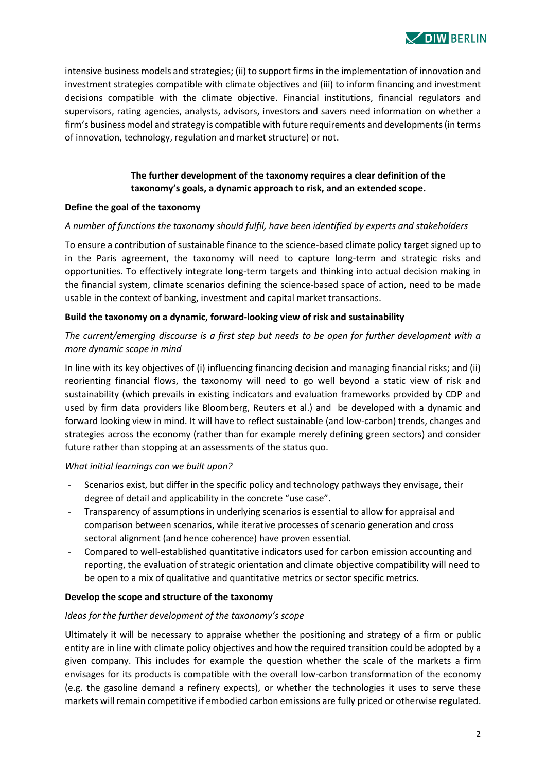

intensive business models and strategies; (ii) to support firms in the implementation of innovation and investment strategies compatible with climate objectives and (iii) to inform financing and investment decisions compatible with the climate objective. Financial institutions, financial regulators and supervisors, rating agencies, analysts, advisors, investors and savers need information on whether a firm's business model and strategy is compatible with future requirements and developments (in terms of innovation, technology, regulation and market structure) or not.

# **The further development of the taxonomy requires a clear definition of the taxonomy's goals, a dynamic approach to risk, and an extended scope.**

#### **Define the goal of the taxonomy**

#### *A number of functions the taxonomy should fulfil, have been identified by experts and stakeholders*

To ensure a contribution of sustainable finance to the science-based climate policy target signed up to in the Paris agreement, the taxonomy will need to capture long-term and strategic risks and opportunities. To effectively integrate long-term targets and thinking into actual decision making in the financial system, climate scenarios defining the science-based space of action, need to be made usable in the context of banking, investment and capital market transactions.

#### **Build the taxonomy on a dynamic, forward-looking view of risk and sustainability**

## *The current/emerging discourse is a first step but needs to be open for further development with a more dynamic scope in mind*

In line with its key objectives of (i) influencing financing decision and managing financial risks; and (ii) reorienting financial flows, the taxonomy will need to go well beyond a static view of risk and sustainability (which prevails in existing indicators and evaluation frameworks provided by CDP and used by firm data providers like Bloomberg, Reuters et al.) and be developed with a dynamic and forward looking view in mind. It will have to reflect sustainable (and low-carbon) trends, changes and strategies across the economy (rather than for example merely defining green sectors) and consider future rather than stopping at an assessments of the status quo.

#### *What initial learnings can we built upon?*

- Scenarios exist, but differ in the specific policy and technology pathways they envisage, their degree of detail and applicability in the concrete "use case".
- Transparency of assumptions in underlying scenarios is essential to allow for appraisal and comparison between scenarios, while iterative processes of scenario generation and cross sectoral alignment (and hence coherence) have proven essential.
- Compared to well-established quantitative indicators used for carbon emission accounting and reporting, the evaluation of strategic orientation and climate objective compatibility will need to be open to a mix of qualitative and quantitative metrics or sector specific metrics.

#### **Develop the scope and structure of the taxonomy**

#### *Ideas for the further development of the taxonomy's scope*

Ultimately it will be necessary to appraise whether the positioning and strategy of a firm or public entity are in line with climate policy objectives and how the required transition could be adopted by a given company. This includes for example the question whether the scale of the markets a firm envisages for its products is compatible with the overall low-carbon transformation of the economy (e.g. the gasoline demand a refinery expects), or whether the technologies it uses to serve these markets will remain competitive if embodied carbon emissions are fully priced or otherwise regulated.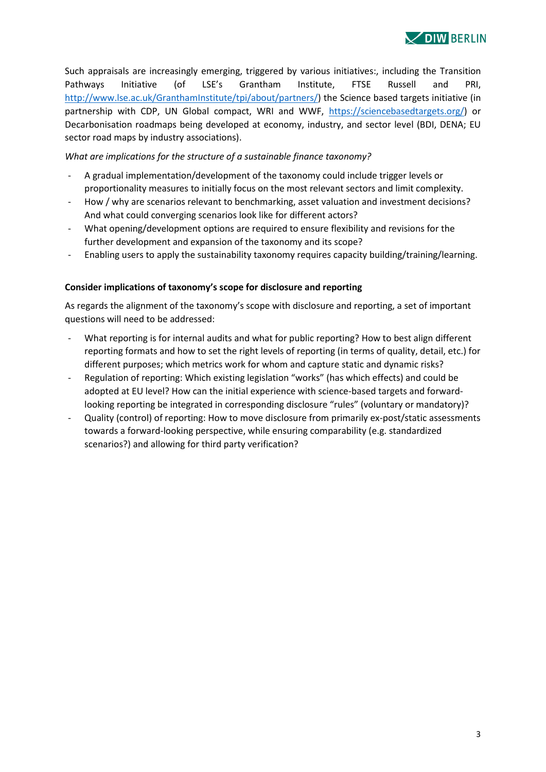Such appraisals are increasingly emerging, triggered by various initiatives:, including the Transition Pathways Initiative (of LSE's Grantham Institute, FTSE Russell and PRI, [http://www.lse.ac.uk/GranthamInstitute/tpi/about/partners/\)](http://www.lse.ac.uk/GranthamInstitute/tpi/about/partners/) the Science based targets initiative (in partnership with CDP, UN Global compact, WRI and WWF, [https://sciencebasedtargets.org/\)](https://sciencebasedtargets.org/) or Decarbonisation roadmaps being developed at economy, industry, and sector level (BDI, DENA; EU sector road maps by industry associations).

*What are implications for the structure of a sustainable finance taxonomy?*

- A gradual implementation/development of the taxonomy could include trigger levels or proportionality measures to initially focus on the most relevant sectors and limit complexity.
- How / why are scenarios relevant to benchmarking, asset valuation and investment decisions? And what could converging scenarios look like for different actors?
- What opening/development options are required to ensure flexibility and revisions for the further development and expansion of the taxonomy and its scope?
- Enabling users to apply the sustainability taxonomy requires capacity building/training/learning.

# **Consider implications of taxonomy's scope for disclosure and reporting**

As regards the alignment of the taxonomy's scope with disclosure and reporting, a set of important questions will need to be addressed:

- What reporting is for internal audits and what for public reporting? How to best align different reporting formats and how to set the right levels of reporting (in terms of quality, detail, etc.) for different purposes; which metrics work for whom and capture static and dynamic risks?
- Regulation of reporting: Which existing legislation "works" (has which effects) and could be adopted at EU level? How can the initial experience with science-based targets and forwardlooking reporting be integrated in corresponding disclosure "rules" (voluntary or mandatory)?
- Quality (control) of reporting: How to move disclosure from primarily ex-post/static assessments towards a forward-looking perspective, while ensuring comparability (e.g. standardized scenarios?) and allowing for third party verification?